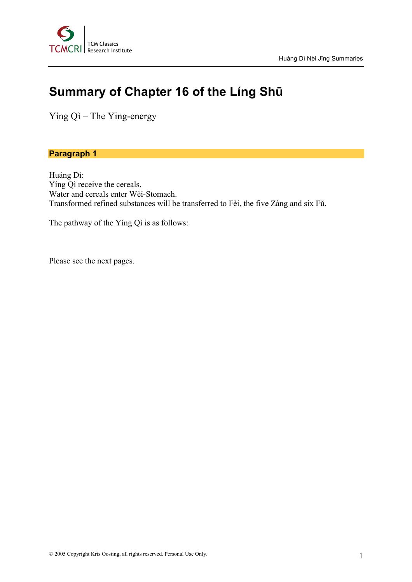

## **Summary of Chapter 16 of the Líng Shū**

Yíng Qì – The Ying-energy

## **Paragraph 1**

Huáng Dì: Yíng Qì receive the cereals. Water and cereals enter Wèi-Stomach. Transformed refined substances will be transferred to Fèi, the five Zàng and six Fŭ.

The pathway of the Yíng Qì is as follows:

Please see the next pages.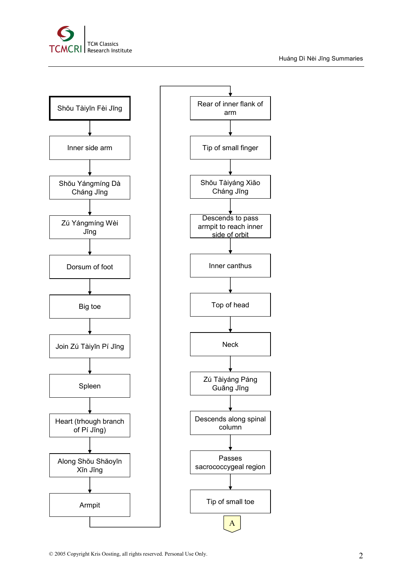



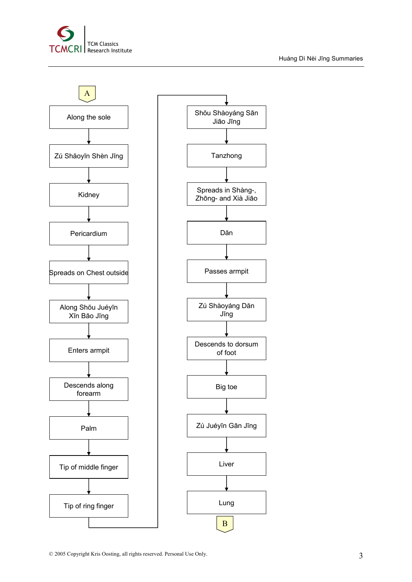